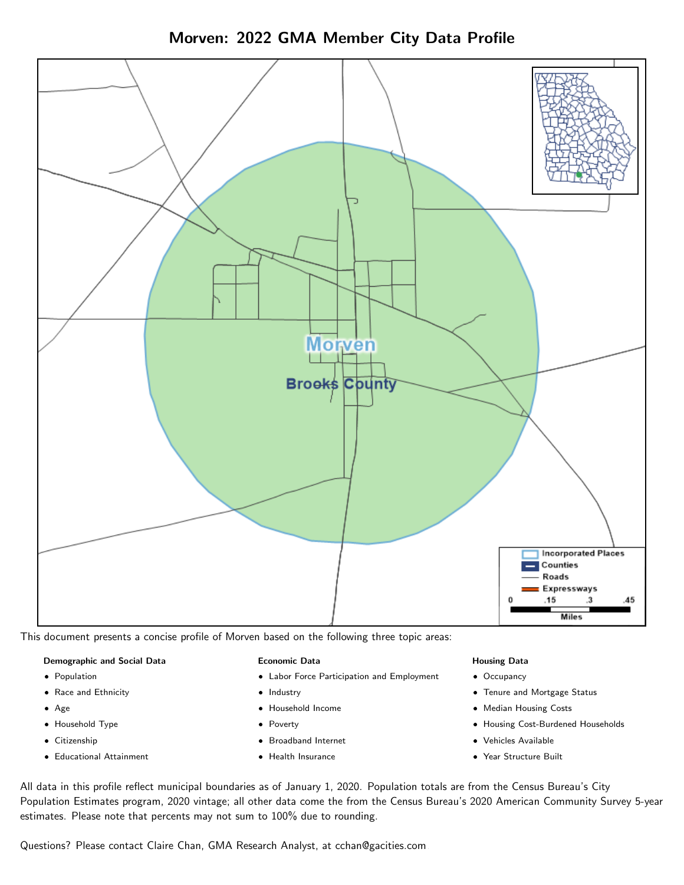Morven: 2022 GMA Member City Data Profile



This document presents a concise profile of Morven based on the following three topic areas:

# Demographic and Social Data

- **•** Population
- Race and Ethnicity
- Age
- Household Type
- **Citizenship**
- Educational Attainment

#### Economic Data

- Labor Force Participation and Employment
- Industry
- Household Income
- Poverty
- Broadband Internet
- Health Insurance

#### Housing Data

- Occupancy
- Tenure and Mortgage Status
- Median Housing Costs
- Housing Cost-Burdened Households
- Vehicles Available
- Year Structure Built

All data in this profile reflect municipal boundaries as of January 1, 2020. Population totals are from the Census Bureau's City Population Estimates program, 2020 vintage; all other data come the from the Census Bureau's 2020 American Community Survey 5-year estimates. Please note that percents may not sum to 100% due to rounding.

Questions? Please contact Claire Chan, GMA Research Analyst, at [cchan@gacities.com.](mailto:cchan@gacities.com)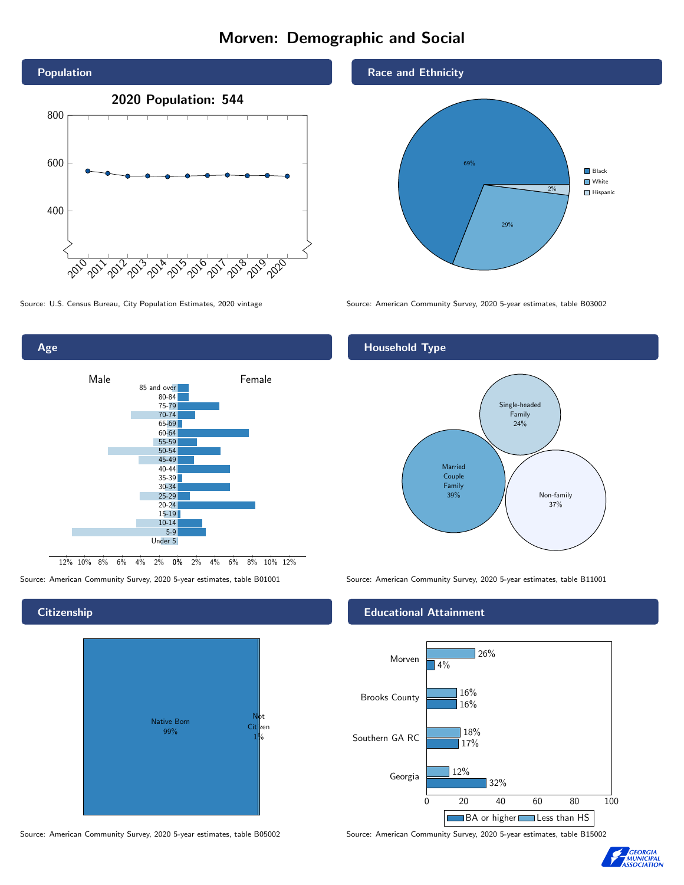# Morven: Demographic and Social



80-84 75-79 70-74 65-69 60-64 55-59 50-54 45-49 40-44 35-39 30-34 25-29 20-24 15-19 10-14 5-9 Under 5

Male **Female** 

85 and over

0% 2% 4% 6% 8% 10% 12% 12% 10% 8% 6% 4% 2%

# **Citizenship**

Age



Source: American Community Survey, 2020 5-year estimates, table B05002 Source: American Community Survey, 2020 5-year estimates, table B15002

### Race and Ethnicity



Source: U.S. Census Bureau, City Population Estimates, 2020 vintage Source: American Community Survey, 2020 5-year estimates, table B03002

# Household Type



Source: American Community Survey, 2020 5-year estimates, table B01001 Source: American Community Survey, 2020 5-year estimates, table B11001

# Educational Attainment



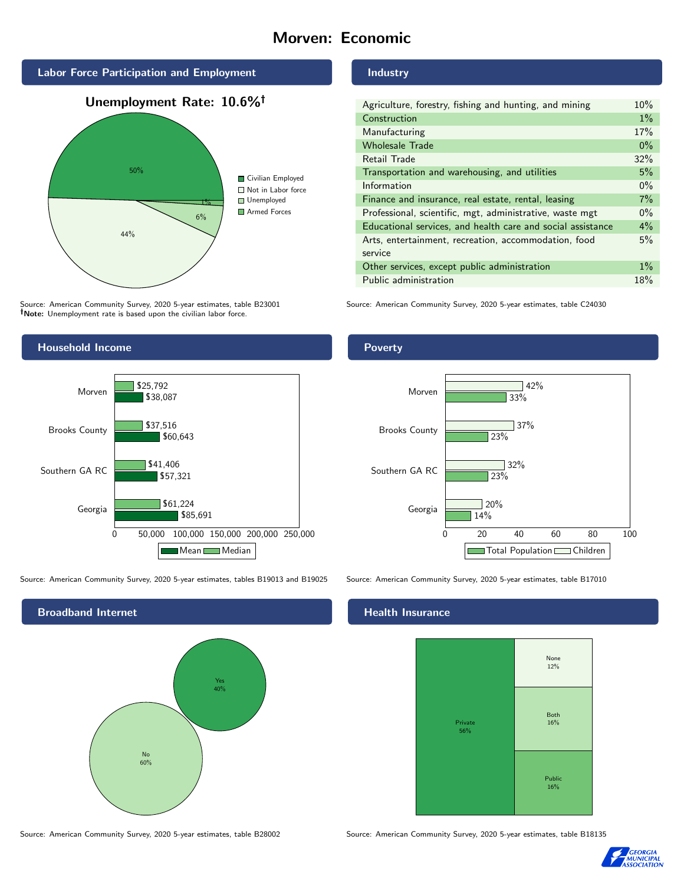# Morven: Economic



Source: American Community Survey, 2020 5-year estimates, table B23001 Note: Unemployment rate is based upon the civilian labor force.



| Agriculture, forestry, fishing and hunting, and mining      | 10%   |
|-------------------------------------------------------------|-------|
| Construction                                                | $1\%$ |
| Manufacturing                                               | 17%   |
| <b>Wholesale Trade</b>                                      | $0\%$ |
| Retail Trade                                                | 32%   |
| Transportation and warehousing, and utilities               | 5%    |
| Information                                                 | $0\%$ |
| Finance and insurance, real estate, rental, leasing         | 7%    |
| Professional, scientific, mgt, administrative, waste mgt    | $0\%$ |
| Educational services, and health care and social assistance | 4%    |
| Arts, entertainment, recreation, accommodation, food        | 5%    |
| service                                                     |       |
| Other services, except public administration                | $1\%$ |
| Public administration                                       | 18%   |

Source: American Community Survey, 2020 5-year estimates, table C24030



Source: American Community Survey, 2020 5-year estimates, tables B19013 and B19025 Source: American Community Survey, 2020 5-year estimates, table B17010



Source: American Community Survey, 2020 5-year estimates, table B28002 Source: American Community Survey, 2020 5-year estimates, table B18135

Poverty



# Health Insurance